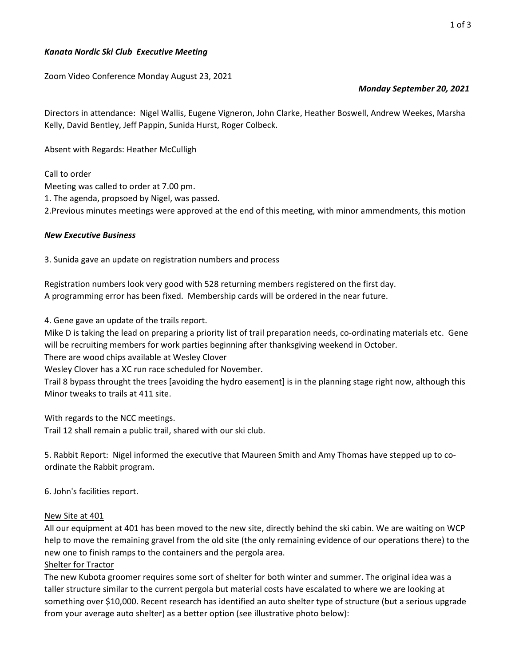## Kanata Nordic Ski Club Executive Meeting

Zoom Video Conference Monday August 23, 2021

# Monday September 20, 2021

Directors in attendance: Nigel Wallis, Eugene Vigneron, John Clarke, Heather Boswell, Andrew Weekes, Marsha Kelly, David Bentley, Jeff Pappin, Sunida Hurst, Roger Colbeck.

Absent with Regards: Heather McCulligh

Call to order

Meeting was called to order at 7.00 pm.

1. The agenda, propsoed by Nigel, was passed.

2.Previous minutes meetings were approved at the end of this meeting, with minor ammendments, this motion

#### New Executive Business

3. Sunida gave an update on registration numbers and process

Registration numbers look very good with 528 returning members registered on the first day. A programming error has been fixed. Membership cards will be ordered in the near future.

4. Gene gave an update of the trails report.

Mike D is taking the lead on preparing a priority list of trail preparation needs, co-ordinating materials etc. Gene will be recruiting members for work parties beginning after thanksgiving weekend in October.

There are wood chips available at Wesley Clover

Wesley Clover has a XC run race scheduled for November.

Trail 8 bypass throught the trees [avoiding the hydro easement] is in the planning stage right now, although this Minor tweaks to trails at 411 site.

With regards to the NCC meetings. Trail 12 shall remain a public trail, shared with our ski club.

5. Rabbit Report: Nigel informed the executive that Maureen Smith and Amy Thomas have stepped up to coordinate the Rabbit program.

6. John's facilities report.

#### New Site at 401

All our equipment at 401 has been moved to the new site, directly behind the ski cabin. We are waiting on WCP help to move the remaining gravel from the old site (the only remaining evidence of our operations there) to the new one to finish ramps to the containers and the pergola area.

#### Shelter for Tractor

The new Kubota groomer requires some sort of shelter for both winter and summer. The original idea was a taller structure similar to the current pergola but material costs have escalated to where we are looking at something over \$10,000. Recent research has identified an auto shelter type of structure (but a serious upgrade from your average auto shelter) as a better option (see illustrative photo below):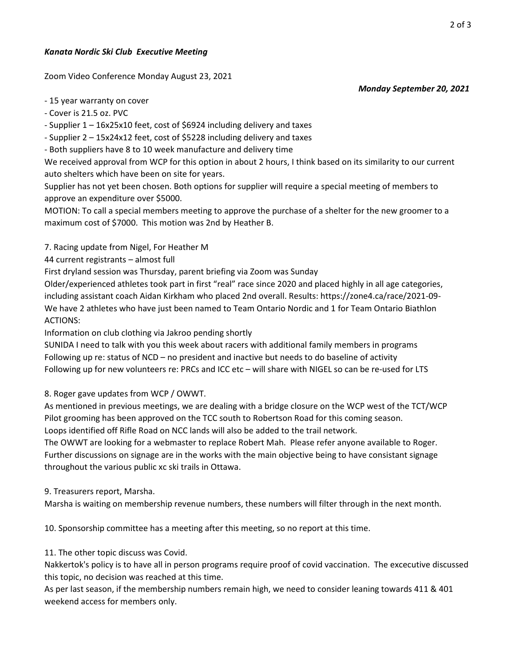## Kanata Nordic Ski Club Executive Meeting

Zoom Video Conference Monday August 23, 2021

Monday September 20, 2021

- 15 year warranty on cover

- Cover is 21.5 oz. PVC

- Supplier 1 – 16x25x10 feet, cost of \$6924 including delivery and taxes

- Supplier 2 – 15x24x12 feet, cost of \$5228 including delivery and taxes

- Both suppliers have 8 to 10 week manufacture and delivery time

We received approval from WCP for this option in about 2 hours, I think based on its similarity to our current auto shelters which have been on site for years.

Supplier has not yet been chosen. Both options for supplier will require a special meeting of members to approve an expenditure over \$5000.

MOTION: To call a special members meeting to approve the purchase of a shelter for the new groomer to a maximum cost of \$7000. This motion was 2nd by Heather B.

7. Racing update from Nigel, For Heather M

44 current registrants – almost full

First dryland session was Thursday, parent briefing via Zoom was Sunday

Older/experienced athletes took part in first "real" race since 2020 and placed highly in all age categories, including assistant coach Aidan Kirkham who placed 2nd overall. Results: https://zone4.ca/race/2021-09- We have 2 athletes who have just been named to Team Ontario Nordic and 1 for Team Ontario Biathlon ACTIONS:

Information on club clothing via Jakroo pending shortly

SUNIDA I need to talk with you this week about racers with additional family members in programs Following up re: status of NCD – no president and inactive but needs to do baseline of activity Following up for new volunteers re: PRCs and ICC etc - will share with NIGEL so can be re-used for LTS

8. Roger gave updates from WCP / OWWT.

As mentioned in previous meetings, we are dealing with a bridge closure on the WCP west of the TCT/WCP Pilot grooming has been approved on the TCC south to Robertson Road for this coming season.

Loops identified off Rifle Road on NCC lands will also be added to the trail network.

The OWWT are looking for a webmaster to replace Robert Mah. Please refer anyone available to Roger. Further discussions on signage are in the works with the main objective being to have consistant signage throughout the various public xc ski trails in Ottawa.

9. Treasurers report, Marsha.

Marsha is waiting on membership revenue numbers, these numbers will filter through in the next month.

10. Sponsorship committee has a meeting after this meeting, so no report at this time.

11. The other topic discuss was Covid.

Nakkertok's policy is to have all in person programs require proof of covid vaccination. The excecutive discussed this topic, no decision was reached at this time.

As per last season, if the membership numbers remain high, we need to consider leaning towards 411 & 401 weekend access for members only.